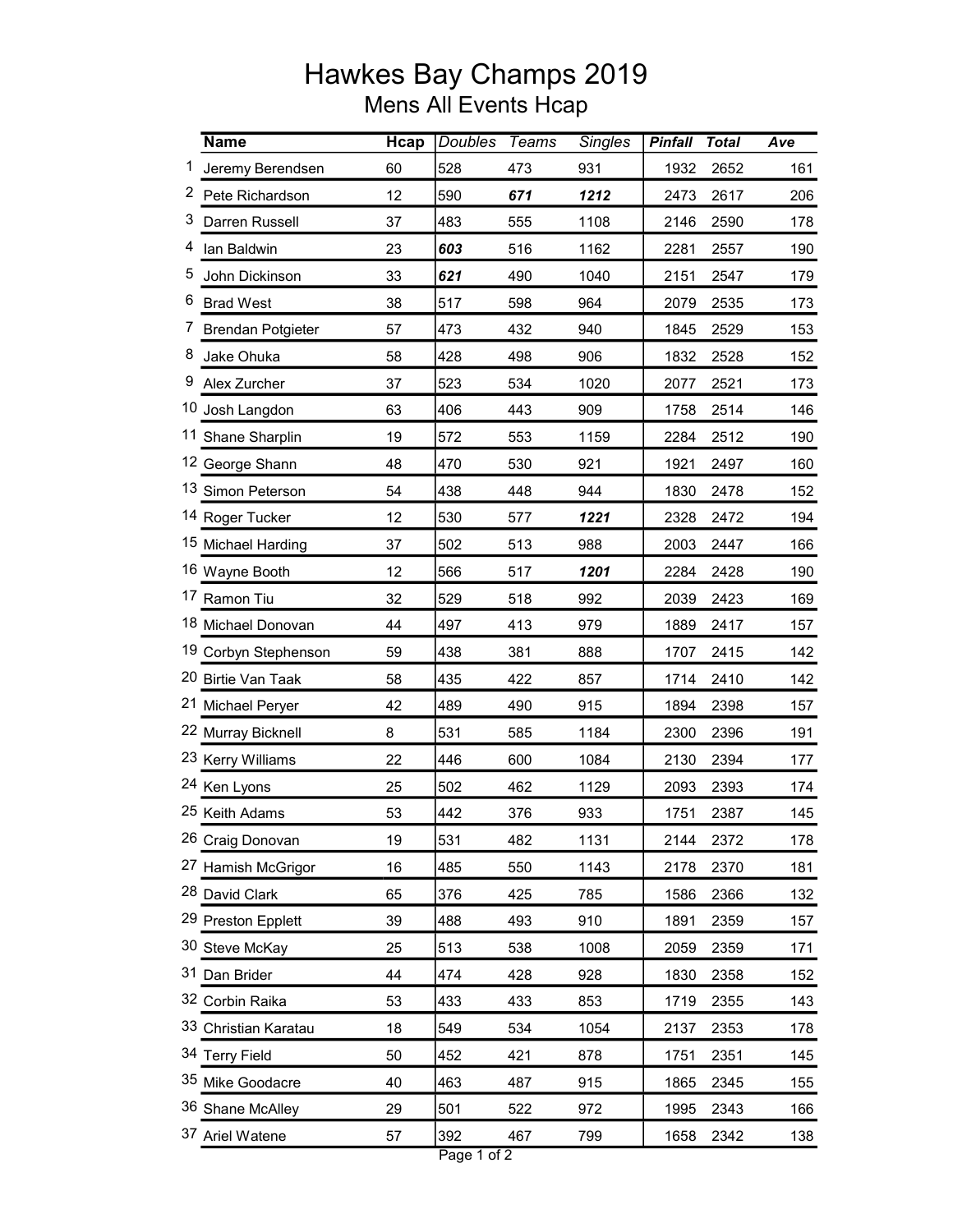## Hawkes Bay Champs 2019 Mens All Events Hcap

|   | <b>Name</b>          | <b>H</b> cap | <b>Doubles</b>   | <b>Teams</b> | <b>Singles</b> | <b>Pinfall</b> | <b>Total</b> | Ave |
|---|----------------------|--------------|------------------|--------------|----------------|----------------|--------------|-----|
| 1 | Jeremy Berendsen     | 60           | 528              | 473          | 931            | 1932           | 2652         | 161 |
|   | 2 Pete Richardson    | 12           | 590              | 671          | 1212           | 2473           | 2617         | 206 |
| 3 | Darren Russell       | 37           | 483              | 555          | 1108           | 2146           | 2590         | 178 |
| 4 | lan Baldwin          | 23           | 603              | 516          | 1162           | 2281           | 2557         | 190 |
| 5 | John Dickinson       | 33           | 621              | 490          | 1040           | 2151           | 2547         | 179 |
| 6 | <b>Brad West</b>     | 38           | 517              | 598          | 964            | 2079           | 2535         | 173 |
|   | 7 Brendan Potgieter  | 57           | 473              | 432          | 940            | 1845           | 2529         | 153 |
| 8 | Jake Ohuka           | 58           | 428              | 498          | 906            | 1832           | 2528         | 152 |
| 9 | Alex Zurcher         | 37           | 523              | 534          | 1020           | 2077           | 2521         | 173 |
|   | 10 Josh Langdon      | 63           | 406              | 443          | 909            | 1758           | 2514         | 146 |
|   | 11 Shane Sharplin    | 19           | 572              | 553          | 1159           | 2284           | 2512         | 190 |
|   | 12 George Shann      | 48           | 470              | 530          | 921            | 1921           | 2497         | 160 |
|   | 13 Simon Peterson    | 54           | 438              | 448          | 944            | 1830           | 2478         | 152 |
|   | 14 Roger Tucker      | 12           | 530              | 577          | 1221           | 2328           | 2472         | 194 |
|   | 15 Michael Harding   | 37           | 502              | 513          | 988            | 2003           | 2447         | 166 |
|   | 16 Wayne Booth       | 12           | 566              | 517          | 1201           | 2284           | 2428         | 190 |
|   | 17 Ramon Tiu         | 32           | 529              | 518          | 992            | 2039           | 2423         | 169 |
|   | 18 Michael Donovan   | 44           | 497              | 413          | 979            | 1889           | 2417         | 157 |
|   | 19 Corbyn Stephenson | 59           | 438              | 381          | 888            | 1707           | 2415         | 142 |
|   | 20 Birtie Van Taak   | 58           | 435              | 422          | 857            | 1714           | 2410         | 142 |
|   | 21 Michael Peryer    | 42           | 489              | 490          | 915            | 1894           | 2398         | 157 |
|   | 22 Murray Bicknell   | 8            | 531              | 585          | 1184           | 2300           | 2396         | 191 |
|   | 23 Kerry Williams    | 22           | 446              | 600          | 1084           | 2130           | 2394         | 177 |
|   | 24 Ken Lyons         | 25           | 502              | 462          | 1129           | 2093           | 2393         | 174 |
|   | 25 Keith Adams       | 53           | 442              | 376          | 933            | 1751           | 2387         | 145 |
|   | 26 Craig Donovan     | 19           | 531              | 482          | 1131           | 2144           | 2372         | 178 |
|   | 27 Hamish McGrigor   | 16           | 485              | 550          | 1143           | 2178           | 2370         | 181 |
|   | 28 David Clark       | 65           | 376              | 425          | 785            | 1586           | 2366         | 132 |
|   | 29 Preston Epplett   | 39           | 488              | 493          | 910            | 1891           | 2359         | 157 |
|   | 30 Steve McKay       | 25           | 513              | 538          | 1008           | 2059           | 2359         | 171 |
|   | 31 Dan Brider        | 44           | 474              | 428          | 928            | 1830           | 2358         | 152 |
|   | 32 Corbin Raika      | 53           | 433              | 433          | 853            | 1719           | 2355         | 143 |
|   | 33 Christian Karatau | 18           | 549              | 534          | 1054           | 2137           | 2353         | 178 |
|   | 34 Terry Field       | 50           | 452              | 421          | 878            | 1751           | 2351         | 145 |
|   | 35 Mike Goodacre     | 40           | 463              | 487          | 915            | 1865           | 2345         | 155 |
|   | 36 Shane McAlley     | 29           | 501              | 522          | 972            | 1995           | 2343         | 166 |
|   | 37 Ariel Watene      | 57           | 392              | 467          | 799            | 1658           | 2342         | 138 |
|   |                      |              | ᠽ᠇<br>$D \sim 4$ |              |                |                |              |     |